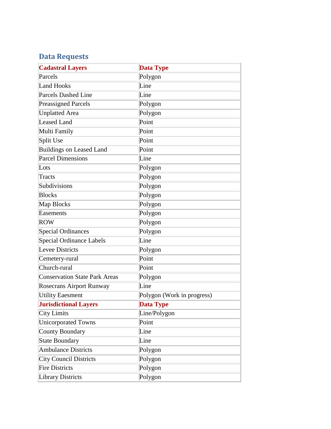## **Data Requests**

| <b>Cadastral Layers</b>              | <b>Data Type</b>           |
|--------------------------------------|----------------------------|
| Parcels                              | Polygon                    |
| <b>Land Hooks</b>                    | Line                       |
| <b>Parcels Dashed Line</b>           | Line                       |
| <b>Preassigned Parcels</b>           | Polygon                    |
| <b>Unplatted Area</b>                | Polygon                    |
| Leased Land                          | Point                      |
| Multi Family                         | Point                      |
| Split Use                            | Point                      |
| <b>Buildings on Leased Land</b>      | Point                      |
| <b>Parcel Dimensions</b>             | Line                       |
| Lots                                 | Polygon                    |
| <b>Tracts</b>                        | Polygon                    |
| Subdivisions                         | Polygon                    |
| <b>Blocks</b>                        | Polygon                    |
| Map Blocks                           | Polygon                    |
| Easements                            | Polygon                    |
| <b>ROW</b>                           | Polygon                    |
| <b>Special Ordinances</b>            | Polygon                    |
| <b>Special Ordinance Labels</b>      | Line                       |
| Levee Districts                      | Polygon                    |
| Cemetery-rural                       | Point                      |
| Church-rural                         | Point                      |
| <b>Conservation State Park Areas</b> | Polygon                    |
| Rosecrans Airport Runway             | Line                       |
| <b>Utility Eaesment</b>              | Polygon (Work in progress) |
| <b>Jurisdictional Layers</b>         | <b>Data Type</b>           |
| City Limits                          | Line/Polygon               |
| <b>Unicorporated Towns</b>           | Point                      |
| <b>County Boundary</b>               | Line                       |
| <b>State Boundary</b>                | Line                       |
| <b>Ambulance Districts</b>           | Polygon                    |
| <b>City Council Districts</b>        | Polygon                    |
| <b>Fire Districts</b>                | Polygon                    |
| <b>Library Districts</b>             | Polygon                    |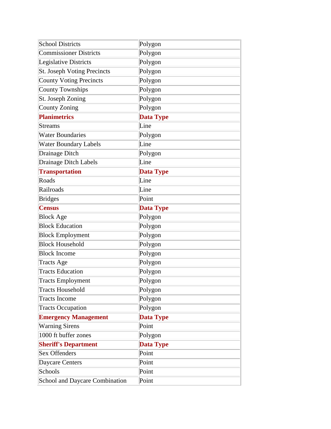| <b>School Districts</b>        | Polygon          |
|--------------------------------|------------------|
| <b>Commissioner Districts</b>  | Polygon          |
| <b>Legislative Districts</b>   | Polygon          |
| St. Joseph Voting Precincts    | Polygon          |
| <b>County Voting Precincts</b> | Polygon          |
| County Townships               | Polygon          |
| St. Joseph Zoning              | Polygon          |
| County Zoning                  | Polygon          |
| <b>Planimetrics</b>            | <b>Data Type</b> |
| <b>Streams</b>                 | Line             |
| <b>Water Boundaries</b>        | Polygon          |
| <b>Water Boundary Labels</b>   | Line             |
| Drainage Ditch                 | Polygon          |
| Drainage Ditch Labels          | Line             |
| <b>Transportation</b>          | <b>Data Type</b> |
| Roads                          | Line             |
| Railroads                      | Line             |
| <b>Bridges</b>                 | Point            |
| <b>Census</b>                  | <b>Data Type</b> |
| <b>Block Age</b>               | Polygon          |
| <b>Block Education</b>         | Polygon          |
| <b>Block Employment</b>        | Polygon          |
| <b>Block Household</b>         | Polygon          |
| <b>Block Income</b>            | Polygon          |
| <b>Tracts Age</b>              | Polygon          |
| <b>Tracts Education</b>        | Polygon          |
| <b>Tracts Employment</b>       | Polygon          |
| <b>Tracts Household</b>        | Polygon          |
| <b>Tracts Income</b>           | Polygon          |
| <b>Tracts Occupation</b>       | Polygon          |
| <b>Emergency Management</b>    | <b>Data Type</b> |
| <b>Warning Sirens</b>          | Point            |
| 1000 ft buffer zones           | Polygon          |
| <b>Sheriff's Department</b>    | <b>Data Type</b> |
| Sex Offenders                  | Point            |
| Daycare Centers                | Point            |
| Schools                        | Point            |
| School and Daycare Combination | Point            |